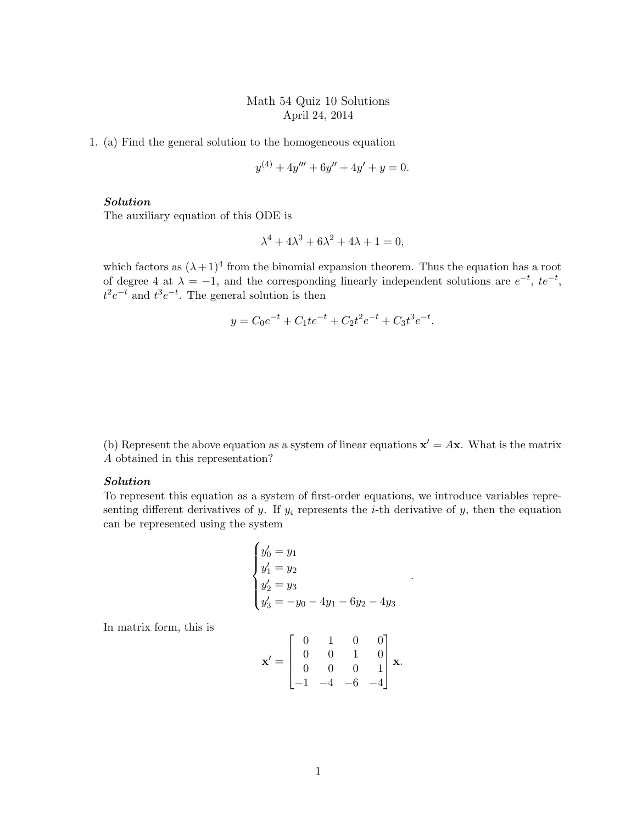## Math 54 Quiz 10 Solutions April 24, 2014

1. (a) Find the general solution to the homogeneous equation

$$
y^{(4)} + 4y''' + 6y'' + 4y' + y = 0.
$$

## Solution

The auxiliary equation of this ODE is

$$
\lambda^4 + 4\lambda^3 + 6\lambda^2 + 4\lambda + 1 = 0,
$$

which factors as  $(\lambda + 1)^4$  from the binomial expansion theorem. Thus the equation has a root of degree 4 at  $\lambda = -1$ , and the corresponding linearly independent solutions are  $e^{-t}$ ,  $te^{-t}$ ,  $t^2e^{-t}$  and  $t^3e^{-t}$ . The general solution is then

$$
y = C_0 e^{-t} + C_1 t e^{-t} + C_2 t^2 e^{-t} + C_3 t^3 e^{-t}.
$$

(b) Represent the above equation as a system of linear equations  $x' = Ax$ . What is the matrix A obtained in this representation?

## Solution

To represent this equation as a system of first-order equations, we introduce variables representing different derivatives of y. If  $y_i$  represents the *i*-th derivative of y, then the equation can be represented using the system

$$
\begin{cases}\ny'_0 = y_1 \\
y'_1 = y_2 \\
y'_2 = y_3 \\
y'_3 = -y_0 - 4y_1 - 6y_2 - 4y_3\n\end{cases}
$$

.

In matrix form, this is

$$
\mathbf{x}' = \begin{bmatrix} 0 & 1 & 0 & 0 \\ 0 & 0 & 1 & 0 \\ 0 & 0 & 0 & 1 \\ -1 & -4 & -6 & -4 \end{bmatrix} \mathbf{x}.
$$